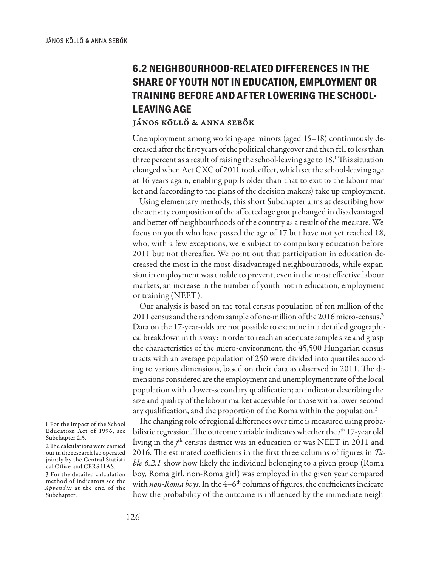## **6.2 NEIGHBOURHOOD-RELATED DIFFERENCES IN THE SHARE OF YOUTH NOT IN EDUCATION, EMPLOYMENT OR TRAINING BEFORE AND AFTER LOWERING THE SCHOOL-LEAVING AGE**

## János Köllő & Anna Sebők

Unemployment among working-age minors (aged 15–18) continuously decreased after the first years of the political changeover and then fell to less than three percent as a result of raising the school-leaving age to 18.1 This situation changed when Act CXC of 2011 took effect, which set the school-leaving age at 16 years again, enabling pupils older than that to exit to the labour market and (according to the plans of the decision makers) take up employment.

Using elementary methods, this short Subchapter aims at describing how the activity composition of the affected age group changed in disadvantaged and better off neighbourhoods of the country as a result of the measure. We focus on youth who have passed the age of 17 but have not yet reached 18, who, with a few exceptions, were subject to compulsory education before 2011 but not thereafter. We point out that participation in education decreased the most in the most disadvantaged neighbourhoods, while expansion in employment was unable to prevent, even in the most effective labour markets, an increase in the number of youth not in education, employment or training (NEET).

Our analysis is based on the total census population of ten million of the 2011 census and the random sample of one-million of the 2016 micro-census.2 Data on the 17-year-olds are not possible to examine in a detailed geographical breakdown in this way: in order to reach an adequate sample size and grasp the characteristics of the micro-environment, the 45,500 Hungarian census tracts with an average population of 250 were divided into quartiles according to various dimensions, based on their data as observed in 2011. The dimensions considered are the employment and unemployment rate of the local population with a lower-secondary qualification; an indicator describing the size and quality of the labour market accessible for those with a lower-secondary qualification, and the proportion of the Roma within the population.<sup>3</sup>

The changing role of regional differences over time is measured using probabilistic regression. The outcome variable indicates whether the *i*<sup>th</sup> 17-year old living in the *j*<sup>th</sup> census district was in education or was NEET in 2011 and 2016. The estimated coefficients in the first three columns of figures in *Table 6.2.1* show how likely the individual belonging to a given group (Roma boy, Roma girl, non-Roma girl) was employed in the given year compared with non-Roma boys. In the 4-6<sup>th</sup> columns of figures, the coefficients indicate how the probability of the outcome is influenced by the immediate neigh-

3 For the detailed calculation method of indicators see the *Appendix* at the end of the Subchapter.

<sup>1</sup> For the impact of the School Education Act of 1996, see Subchapter 2.5.

<sup>2</sup> The calculations were carried out in the research lab operated jointly by the Central Statistical Office and CERS HAS.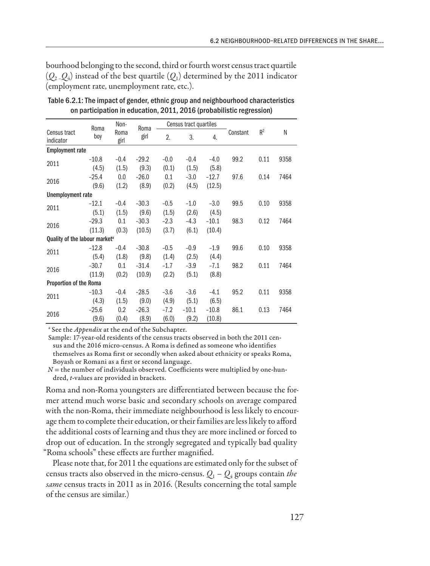bourhood belonging to the second, third or fourth worst census tract quartile  $(Q_2, Q_4)$  instead of the best quartile  $(Q_1)$  determined by the 2011 indicator (employment rate, unemployment rate, etc.).

|                                           | Roma    | Non-         | Roma    | Census tract quartiles |         |         |          |       |      |
|-------------------------------------------|---------|--------------|---------|------------------------|---------|---------|----------|-------|------|
| Census tract<br>indicator                 | boy     | Roma<br>girl | girl    | 2.                     | 3.      | 4.      | Constant | $R^2$ | N    |
| <b>Employment rate</b>                    |         |              |         |                        |         |         |          |       |      |
| 2011                                      | $-10.8$ | $-0.4$       | $-29.2$ | $-0.0$                 | $-0.4$  | $-4.0$  | 99.2     | 0.11  | 9358 |
|                                           | (4.5)   | (1.5)        | (9.3)   | (0.1)                  | (1.5)   | (5.8)   |          |       |      |
| 2016                                      | $-25.4$ | 0.0          | $-26.0$ | 0.1                    | $-3.0$  | $-12.7$ | 97.6     | 0.14  | 7464 |
|                                           | (9.6)   | (1.2)        | (8.9)   | (0.2)                  | (4.5)   | (12.5)  |          |       |      |
| Unemployment rate                         |         |              |         |                        |         |         |          |       |      |
| 2011                                      | $-12.1$ | $-0.4$       | $-30.3$ | $-0.5$                 | $-1.0$  | $-3.0$  | 99.5     | 0.10  | 9358 |
|                                           | (5.1)   | (1.5)        | (9.6)   | (1.5)                  | (2.6)   | (4.5)   |          |       |      |
| 2016                                      | $-29.3$ | 0.1          | $-30.3$ | $-2.3$                 | $-4.3$  | $-10.1$ | 98.3     | 0.12  | 7464 |
|                                           | (11.3)  | (0.3)        | (10.5)  | (3.7)                  | (6.1)   | (10.4)  |          |       |      |
| Quality of the labour market <sup>a</sup> |         |              |         |                        |         |         |          |       |      |
| 2011                                      | $-12.8$ | $-0.4$       | $-30.8$ | $-0.5$                 | $-0.9$  | $-1.9$  | 99.6     | 0.10  | 9358 |
|                                           | (5.4)   | (1.8)        | (9.8)   | (1.4)                  | (2.5)   | (4.4)   |          |       |      |
| 2016                                      | $-30.7$ | 0.1          | $-31.4$ | $-1.7$                 | $-3.9$  | $-7.1$  | 98.2     | 0.11  | 7464 |
|                                           | (11.9)  | (0.2)        | (10.9)  | (2.2)                  | (5.1)   | (8.8)   |          |       |      |
| Proportion of the Roma                    |         |              |         |                        |         |         |          |       |      |
| 2011                                      | $-10.3$ | $-0.4$       | $-28.5$ | $-3.6$                 | $-3.6$  | $-4.1$  | 95.2     | 0.11  | 9358 |
|                                           | (4.3)   | (1.5)        | (9.0)   | (4.9)                  | (5.1)   | (6.5)   |          |       |      |
| 2016                                      | $-25.6$ | 0.2          | $-26.3$ | $-7.2$                 | $-10.1$ | $-10.8$ | 86.1     | 0.13  | 7464 |
|                                           | (9.6)   | (0.4)        | (8.9)   | (6.0)                  | (9.2)   | (10.8)  |          |       |      |

Table 6.2.1: The impact of gender, ethnic group and neighbourhood characteristics on participation in education, 2011, 2016 (probabilistic regression)

<sup>a</sup> See the *Appendix* at the end of the Subchapter.

Sample: 17-year-old residents of the census tracts observed in both the 2011 census and the 2016 micro-census. A Roma is defined as someone who identifies themselves as Roma first or secondly when asked about ethnicity or speaks Roma, Boyash or Romani as a first or second language.

*N* = the number of individuals observed. Coefficients were multiplied by one-hundred, *t*-values are provided in brackets.

Roma and non-Roma youngsters are differentiated between because the former attend much worse basic and secondary schools on average compared with the non-Roma, their immediate neighbourhood is less likely to encourage them to complete their education, or their families are less likely to afford the additional costs of learning and thus they are more inclined or forced to drop out of education. In the strongly segregated and typically bad quality "Roma schools" these effects are further magnified.

Please note that, for 2011 the equations are estimated only for the subset of census tracts also observed in the micro-census.  $Q_1 - Q_4$  groups contain *the same* census tracts in 2011 as in 2016. (Results concerning the total sample of the census are similar.)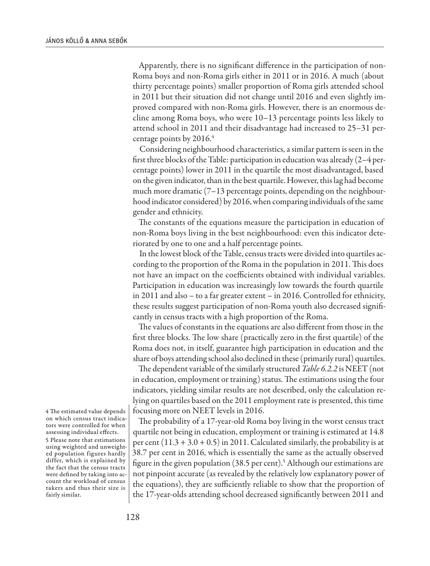Apparently, there is no significant difference in the participation of non-Roma boys and non-Roma girls either in 2011 or in 2016. A much (about thirty percentage points) smaller proportion of Roma girls attended school in 2011 but their situation did not change until 2016 and even slightly improved compared with non-Roma girls. However, there is an enormous decline among Roma boys, who were 10–13 percentage points less likely to attend school in 2011 and their disadvantage had increased to 25–31 percentage points by 2016.4

Considering neighbourhood characteristics, a similar pattern is seen in the first three blocks of the Table: participation in education was already (2–4 percentage points) lower in 2011 in the quartile the most disadvantaged, based on the given indicator, than in the best quartile. However, this lag had become much more dramatic (7–13 percentage points, depending on the neighbourhood indicator considered) by 2016, when comparing individuals of the same gender and ethnicity.

The constants of the equations measure the participation in education of non-Roma boys living in the best neighbourhood: even this indicator deteriorated by one to one and a half percentage points.

In the lowest block of the Table, census tracts were divided into quartiles according to the proportion of the Roma in the population in 2011. This does not have an impact on the coefficients obtained with individual variables. Participation in education was increasingly low towards the fourth quartile in 2011 and also – to a far greater extent – in 2016. Controlled for ethnicity, these results suggest participation of non-Roma youth also decreased significantly in census tracts with a high proportion of the Roma.

The values of constants in the equations are also different from those in the first three blocks. The low share (practically zero in the first quartile) of the Roma does not, in itself, guarantee high participation in education and the share of boys attending school also declined in these (primarily rural) quartiles.

The dependent variable of the similarly structured *Table 6.2.2* is NEET (not in education, employment or training) status. The estimations using the four indicators, yielding similar results are not described, only the calculation relying on quartiles based on the 2011 employment rate is presented, this time focusing more on NEET levels in 2016.

The probability of a 17-year-old Roma boy living in the worst census tract quartile not being in education, employment or training is estimated at 14.8 per cent  $(11.3 + 3.0 + 0.5)$  in 2011. Calculated similarly, the probability is at 38.7 per cent in 2016, which is essentially the same as the actually observed figure in the given population (38.5 per cent).<sup>5</sup> Although our estimations are not pinpoint accurate (as revealed by the relatively low explanatory power of the equations), they are sufficiently reliable to show that the proportion of the 17-year-olds attending school decreased significantly between 2011 and

4 The estimated value depends on which census tract indicators were controlled for when assessing individual effects.

5 Please note that estimations using weighted and unweighted population figures hardly differ, which is explained by the fact that the census tracts were defined by taking into account the workload of census takers and thus their size is fairly similar.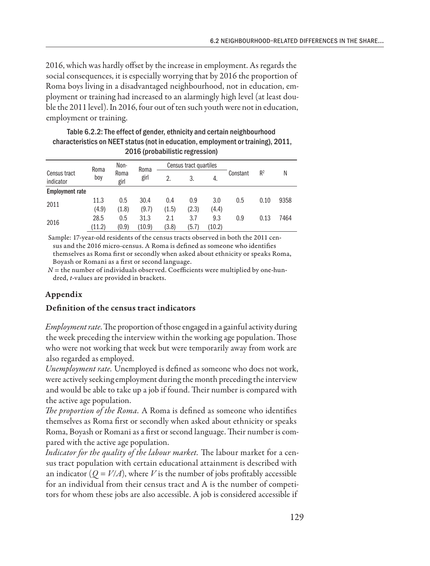2016, which was hardly offset by the increase in employment. As regards the social consequences, it is especially worrying that by 2016 the proportion of Roma boys living in a disadvantaged neighbourhood, not in education, employment or training had increased to an alarmingly high level (at least double the 2011 level). In 2016, four out of ten such youth were not in education, employment or training.

|                           | Roma   | Non-         | Roma   | Census tract quartiles |       |        |          |       |      |
|---------------------------|--------|--------------|--------|------------------------|-------|--------|----------|-------|------|
| Census tract<br>indicator | boy    | Roma<br>girl | girl   | 2.                     | 3.    | 4.     | Constant | $R^2$ | N    |
| <b>Employment rate</b>    |        |              |        |                        |       |        |          |       |      |
| 2011                      | 11.3   | 0.5          | 30.4   | 0.4                    | 0.9   | 3.0    | 0.5      | 0.10  | 9358 |
|                           | (4.9)  | (1.8)        | (9.7)  | (1.5)                  | (2.3) | (4.4)  |          |       |      |
|                           | 28.5   | 0.5          | 31.3   | 2.1                    | 3.7   | 9.3    | 0.9      | 0.13  | 7464 |
| 2016                      | (11.2) | (0.9)        | (10.9) | (3.8)                  | (5.7) | (10.2) |          |       |      |

| Table 6.2.2: The effect of gender, ethnicity and certain neighbourhood           |
|----------------------------------------------------------------------------------|
| characteristics on NEET status (not in education, employment or training), 2011, |
| 2016 (probabilistic regression)                                                  |

Sample: 17-year-old residents of the census tracts observed in both the 2011 census and the 2016 micro-census. A Roma is defined as someone who identifies themselves as Roma first or secondly when asked about ethnicity or speaks Roma, Boyash or Romani as a first or second language.

 $N$  = the number of individuals observed. Coefficients were multiplied by one-hundred, *t*-values are provided in brackets.

## Appendix

## Definition of the census tract indicators

*Employment rate*. The proportion of those engaged in a gainful activity during the week preceding the interview within the working age population. Those who were not working that week but were temporarily away from work are also regarded as employed.

*Unemployment rate.* Unemployed is defined as someone who does not work, were actively seeking employment during the month preceding the interview and would be able to take up a job if found. Their number is compared with the active age population.

*The proportion of the Roma.* A Roma is defined as someone who identifies themselves as Roma first or secondly when asked about ethnicity or speaks Roma, Boyash or Romani as a first or second language. Their number is compared with the active age population.

*Indicator for the quality of the labour market.* The labour market for a census tract population with certain educational attainment is described with an indicator ( $Q = V/A$ ), where *V* is the number of jobs profitably accessible for an individual from their census tract and A is the number of competitors for whom these jobs are also accessible. A job is considered accessible if